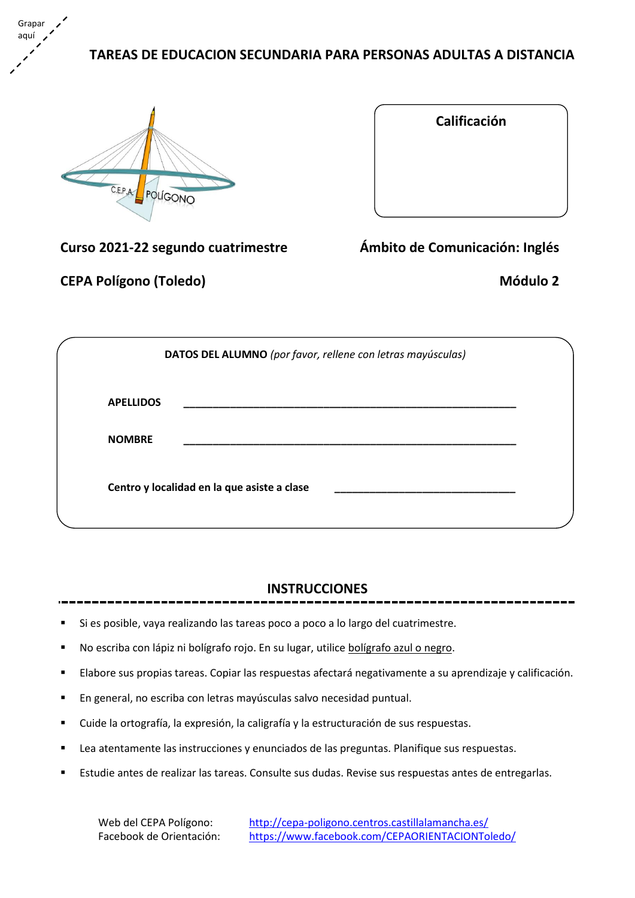**TAREAS DE EDUCACION SECUNDARIA PARA PERSONAS ADULTAS A DISTANCIA**



Grapar aquí

| Calificación |  |
|--------------|--|
|              |  |
|              |  |
|              |  |

**Curso 2021-22 segundo cuatrimestre Ámbito de Comunicación: Inglés**

**CEPA Polígono (Toledo) Módulo 2**

|                                             | DATOS DEL ALUMNO (por favor, rellene con letras mayúsculas) |
|---------------------------------------------|-------------------------------------------------------------|
| <b>APELLIDOS</b>                            |                                                             |
| <b>NOMBRE</b>                               |                                                             |
| Centro y localidad en la que asiste a clase |                                                             |

# **INSTRUCCIONES**

- Si es posible, vaya realizando las tareas poco a poco a lo largo del cuatrimestre.
- No escriba con lápiz ni bolígrafo rojo. En su lugar, utilice bolígrafo azul o negro.
- Elabore sus propias tareas. Copiar las respuestas afectará negativamente a su aprendizaje y calificación.
- En general, no escriba con letras mayúsculas salvo necesidad puntual.
- Cuide la ortografía, la expresión, la caligrafía y la estructuración de sus respuestas.
- Lea atentamente las instrucciones y enunciados de las preguntas. Planifique sus respuestas.
- Estudie antes de realizar las tareas. Consulte sus dudas. Revise sus respuestas antes de entregarlas.

Web del CEPA Polígono: <http://cepa-poligono.centros.castillalamancha.es/> Facebook de Orientación: <https://www.facebook.com/CEPAORIENTACIONToledo/>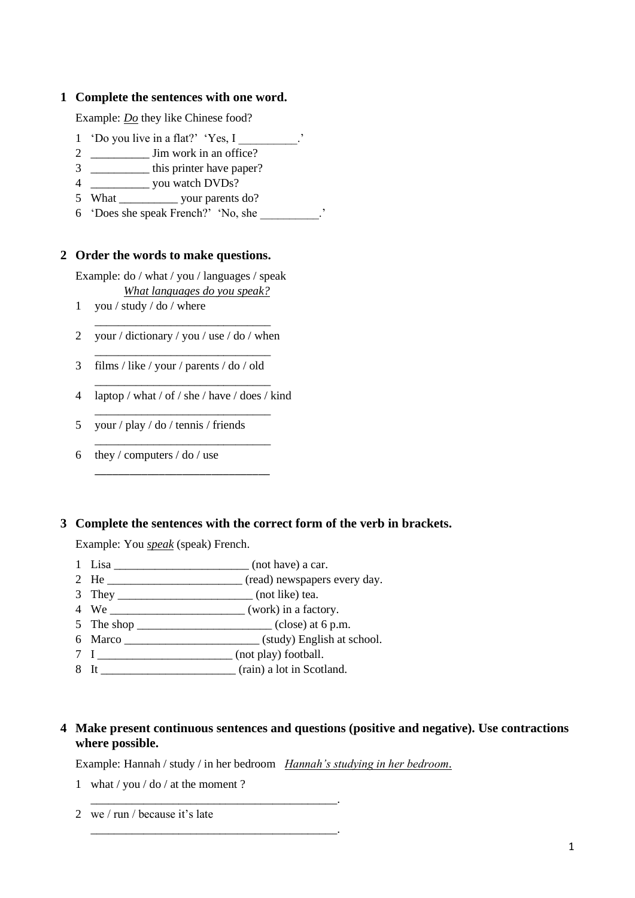### **1 Complete the sentences with one word.**

Example: *Do* they like Chinese food?

- 1 'Do you live in a flat?' 'Yes, I
- 2 *\_\_\_\_\_\_\_\_\_\_* Jim work in an office?
- 3 \_\_\_\_\_\_\_\_\_\_\_\_\_ this printer have paper?
- 4 *\_\_\_\_\_\_\_\_\_\_* you watch DVDs?
- 5 What \_\_\_\_\_\_\_\_\_\_\_\_\_\_ your parents do?
- 6 'Does she speak French?' 'No, she \_\_\_\_\_\_\_\_\_\_.'

#### **2 Order the words to make questions.**

Example: do / what / you / languages / speak *What languages do you speak?*

- 1 you / study / do / where
- \_\_\_\_\_\_\_\_\_\_\_\_\_\_\_\_\_\_\_\_\_\_\_\_\_\_\_\_\_\_ 2 your / dictionary / you / use / do / when \_\_\_\_\_\_\_\_\_\_\_\_\_\_\_\_\_\_\_\_\_\_\_\_\_\_\_\_\_\_
- 3 films / like / your / parents / do / old
- \_\_\_\_\_\_\_\_\_\_\_\_\_\_\_\_\_\_\_\_\_\_\_\_\_\_\_\_\_\_ 4 laptop / what / of / she / have / does / kind \_\_\_\_\_\_\_\_\_\_\_\_\_\_\_\_\_\_\_\_\_\_\_\_\_\_\_\_\_\_

\_\_\_\_\_\_\_\_\_\_\_\_\_\_\_\_\_\_\_\_\_\_\_\_\_\_\_\_\_\_

\_\_\_\_\_\_\_\_\_\_\_\_\_\_\_\_\_\_\_\_\_\_\_\_\_\_\_\_\_\_

- 5 your / play / do / tennis / friends
- 6 they / computers / do / use

#### **3 Complete the sentences with the correct form of the verb in brackets.**

Example: You *speak* (speak) French.

- 1 Lisa \_\_\_\_\_\_\_\_\_\_\_\_\_\_\_\_\_\_\_\_\_\_\_ (not have) a car.
- 2 He \_\_\_\_\_\_\_\_\_\_\_\_\_\_\_\_\_\_\_\_\_\_ (read) newspapers every day.
- 3 They \_\_\_\_\_\_\_\_\_\_\_\_\_\_\_\_\_\_\_\_\_\_\_ (not like) tea.
- 4 We work) in a factory.
- 5 The shop  $\frac{\qquad \qquad}{\qquad \qquad}$  (close) at 6 p.m.
- 6 Marco \_\_\_\_\_\_\_\_\_\_\_\_\_\_\_\_\_\_\_\_\_\_\_ (study) English at school.
- 7 I \_\_\_\_\_\_\_\_\_\_\_\_\_\_\_\_\_\_\_\_\_\_\_ (not play) football.
- 8 It \_\_\_\_\_\_\_\_\_\_\_\_\_\_\_\_\_\_\_\_\_\_\_ (rain) a lot in Scotland.

\_\_\_\_\_\_\_\_\_\_\_\_\_\_\_\_\_\_\_\_\_\_\_\_\_\_\_\_\_\_\_\_\_\_\_\_\_\_\_\_\_\_.

\_\_\_\_\_\_\_\_\_\_\_\_\_\_\_\_\_\_\_\_\_\_\_\_\_\_\_\_\_\_\_\_\_\_\_\_\_\_\_\_\_\_.

## **4 Make present continuous sentences and questions (positive and negative). Use contractions where possible.**

Example: Hannah / study / in her bedroom *Hannah's studying in her bedroom*.

- 1 what / you / do / at the moment ?
- 2 we / run / because it's late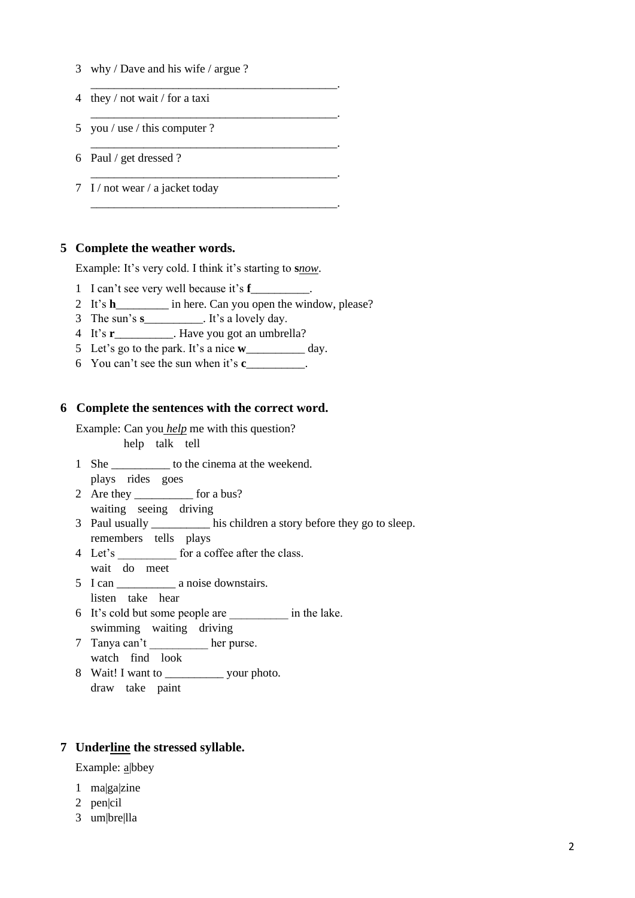- 3 why / Dave and his wife / argue ?
- 4 they / not wait / for a taxi
- 5 you / use / this computer ?
- 6 Paul / get dressed ?
- 7 I / not wear / a jacket today

#### **5 Complete the weather words.**

Example: It's very cold. I think it's starting to **s***now*.

- 1 I can't see very well because it's **f**\_\_\_\_\_\_\_\_\_\_.
- 2 It's **h**\_\_\_\_\_\_\_\_\_ in here. Can you open the window, please?

\_\_\_\_\_\_\_\_\_\_\_\_\_\_\_\_\_\_\_\_\_\_\_\_\_\_\_\_\_\_\_\_\_\_\_\_\_\_\_\_\_\_.

\_\_\_\_\_\_\_\_\_\_\_\_\_\_\_\_\_\_\_\_\_\_\_\_\_\_\_\_\_\_\_\_\_\_\_\_\_\_\_\_\_\_.

\_\_\_\_\_\_\_\_\_\_\_\_\_\_\_\_\_\_\_\_\_\_\_\_\_\_\_\_\_\_\_\_\_\_\_\_\_\_\_\_\_\_.

\_\_\_\_\_\_\_\_\_\_\_\_\_\_\_\_\_\_\_\_\_\_\_\_\_\_\_\_\_\_\_\_\_\_\_\_\_\_\_\_\_\_.

\_\_\_\_\_\_\_\_\_\_\_\_\_\_\_\_\_\_\_\_\_\_\_\_\_\_\_\_\_\_\_\_\_\_\_\_\_\_\_\_\_\_.

- 3 The sun's **s**\_\_\_\_\_\_\_\_\_\_. It's a lovely day.
- 4 It's **r**\_\_\_\_\_\_\_\_\_\_. Have you got an umbrella?
- 5 Let's go to the park. It's a nice **w**\_\_\_\_\_\_\_\_\_\_ day.
- 6 You can't see the sun when it's **c**\_\_\_\_\_\_\_\_\_\_.

#### **6 Complete the sentences with the correct word.**

Example: Can you *help* me with this question? help talk tell

- 1 She to the cinema at the weekend. plays rides goes
- 2 Are they \_\_\_\_\_\_\_\_\_\_\_ for a bus? waiting seeing driving
- 3 Paul usually \_\_\_\_\_\_\_\_\_\_ his children a story before they go to sleep. remembers tells plays
- 4 Let's for a coffee after the class. wait do meet
- 5 I can a noise downstairs. listen take hear
- 6 It's cold but some people are \_\_\_\_\_\_\_\_\_\_ in the lake. swimming waiting driving
- 7 Tanya can't \_\_\_\_\_\_\_\_\_\_ her purse. watch find look
- 8 Wait! I want to \_\_\_\_\_\_\_\_\_\_ your photo. draw take paint

#### **7 Underline the stressed syllable.**

Example: a|bbey

- 1 ma|ga|zine
- 2 pen|cil
- 3 um|bre|lla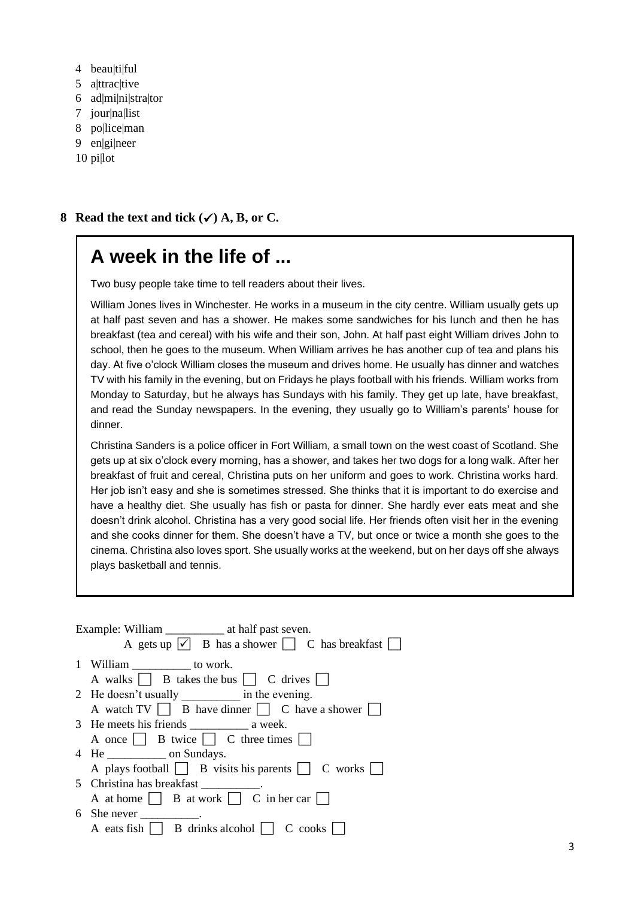- 4 beaultilful
- 5 a|ttrac|tive
- 6 ad|mi|ni|stra|tor
- 7 jour|na|list
- 8 pollicelman
- 9 en|gi|neer
- 10 pi|lot

# **8 Read the text and tick**  $(\checkmark)$  **A, B, or C.**

# **A week in the life of ...**

Two busy people take time to tell readers about their lives.

William Jones lives in Winchester. He works in a museum in the city centre. William usually gets up at half past seven and has a shower. He makes some sandwiches for his lunch and then he has breakfast (tea and cereal) with his wife and their son, John. At half past eight William drives John to school, then he goes to the museum. When William arrives he has another cup of tea and plans his day. At five o'clock William closes the museum and drives home. He usually has dinner and watches TV with his family in the evening, but on Fridays he plays football with his friends. William works from Monday to Saturday, but he always has Sundays with his family. They get up late, have breakfast, and read the Sunday newspapers. In the evening, they usually go to William's parents' house for dinner.

Christina Sanders is a police officer in Fort William, a small town on the west coast of Scotland. She gets up at six o'clock every morning, has a shower, and takes her two dogs for a long walk. After her breakfast of fruit and cereal, Christina puts on her uniform and goes to work. Christina works hard. Her job isn't easy and she is sometimes stressed. She thinks that it is important to do exercise and have a healthy diet. She usually has fish or pasta for dinner. She hardly ever eats meat and she doesn't drink alcohol. Christina has a very good social life. Her friends often visit her in the evening and she cooks dinner for them. She doesn't have a TV, but once or twice a month she goes to the cinema. Christina also loves sport. She usually works at the weekend, but on her days off she always plays basketball and tennis.

| A gets up $\overline{\vee}$ B has a shower $\Box$ C has breakfast  |
|--------------------------------------------------------------------|
| 1 William ______________ to work.                                  |
| A walks     B takes the bus     C drives                           |
| 2 He doesn't usually ____________ in the evening.                  |
| A watch $TV$ B have dinner C have a shower                         |
|                                                                    |
| A once $\Box$ B twice $\Box$ C three times $\Box$                  |
| 4 He _________________ on Sundays.                                 |
| A plays football $\Box$ B visits his parents $\Box$ C works $\Box$ |
| 5 Christina has breakfast ___________.                             |
| A at home     B at work     C in her car                           |
| 6 She never $\_\_\_\_\_\_\_\_\_\$ .                                |
| A eats fish     B drinks alcohol     C cooks                       |